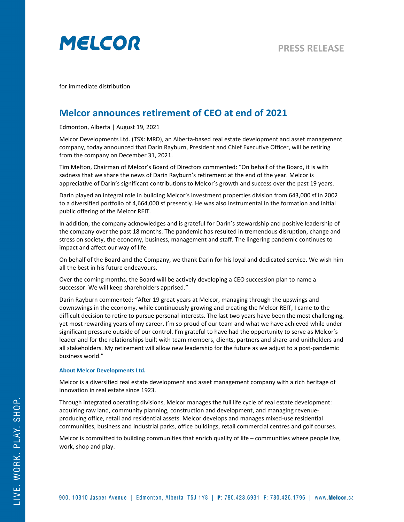

for immediate distribution

## **Melcor announces retirement of CEO at end of 2021**

Edmonton, Alberta | August 19, 2021

Melcor Developments Ltd. (TSX: MRD), an Alberta-based real estate development and asset management company, today announced that Darin Rayburn, President and Chief Executive Officer, will be retiring from the company on December 31, 2021.

Tim Melton, Chairman of Melcor's Board of Directors commented: "On behalf of the Board, it is with sadness that we share the news of Darin Rayburn's retirement at the end of the year. Melcor is appreciative of Darin's significant contributions to Melcor's growth and success over the past 19 years.

Darin played an integral role in building Melcor's investment properties division from 643,000 sf in 2002 to a diversified portfolio of 4,664,000 sf presently. He was also instrumental in the formation and initial public offering of the Melcor REIT.

In addition, the company acknowledges and is grateful for Darin's stewardship and positive leadership of the company over the past 18 months. The pandemic has resulted in tremendous disruption, change and stress on society, the economy, business, management and staff. The lingering pandemic continues to impact and affect our way of life.

On behalf of the Board and the Company, we thank Darin for his loyal and dedicated service. We wish him all the best in his future endeavours.

Over the coming months, the Board will be actively developing a CEO succession plan to name a successor. We will keep shareholders apprised."

Darin Rayburn commented: "After 19 great years at Melcor, managing through the upswings and downswings in the economy, while continuously growing and creating the Melcor REIT, I came to the difficult decision to retire to pursue personal interests. The last two years have been the most challenging, yet most rewarding years of my career. I'm so proud of our team and what we have achieved while under significant pressure outside of our control. I'm grateful to have had the opportunity to serve as Melcor's leader and for the relationships built with team members, clients, partners and share-and unitholders and all stakeholders. My retirement will allow new leadership for the future as we adjust to a post-pandemic business world."

## **About Melcor Developments Ltd.**

Melcor is a diversified real estate development and asset management company with a rich heritage of innovation in real estate since 1923.

Through integrated operating divisions, Melcor manages the full life cycle of real estate development: acquiring raw land, community planning, construction and development, and managing revenueproducing office, retail and residential assets. Melcor develops and manages mixed-use residential communities, business and industrial parks, office buildings, retail commercial centres and golf courses.

Melcor is committed to building communities that enrich quality of life – communities where people live, work, shop and play.